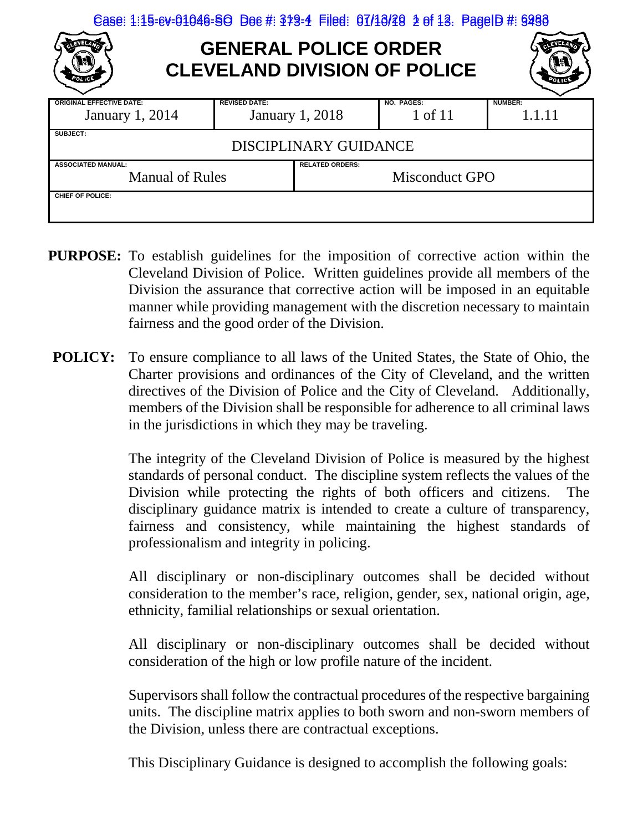| Case: 1:15-ev-01046-SO Doe #: 379-4 Filed: 07/10/20 2 of 13. PageID #: 9290 |                        |                       |                       |                   |  |  |
|-----------------------------------------------------------------------------|------------------------|-----------------------|-----------------------|-------------------|--|--|
| <b>GENERAL POLICE ORDER</b><br><b>CLEVELAND DIVISION OF POLICE</b>          |                        |                       |                       |                   |  |  |
| <b>ORIGINAL EFFECTIVE DATE:</b><br><b>January 1, 2014</b>                   | <b>REVISED DATE:</b>   | January 1, 2018       | NO. PAGES:<br>1 of 11 | NUMBER:<br>1.1.11 |  |  |
| SUBJECT:<br><b>DISCIPLINARY GUIDANCE</b>                                    |                        |                       |                       |                   |  |  |
| <b>ASSOCIATED MANUAL:</b><br><b>Manual of Rules</b>                         | <b>RELATED ORDERS:</b> | <b>Misconduct GPO</b> |                       |                   |  |  |
| CHIEF OF POLICE:                                                            |                        |                       |                       |                   |  |  |

- **PURPOSE:** To establish guidelines for the imposition of corrective action within the Cleveland Division of Police. Written guidelines provide all members of the Division the assurance that corrective action will be imposed in an equitable manner while providing management with the discretion necessary to maintain fairness and the good order of the Division.
- **POLICY:** To ensure compliance to all laws of the United States, the State of Ohio, the Charter provisions and ordinances of the City of Cleveland, and the written directives of the Division of Police and the City of Cleveland. Additionally, members of the Division shall be responsible for adherence to all criminal laws in the jurisdictions in which they may be traveling.

The integrity of the Cleveland Division of Police is measured by the highest standards of personal conduct. The discipline system reflects the values of the Division while protecting the rights of both officers and citizens. The disciplinary guidance matrix is intended to create a culture of transparency, fairness and consistency, while maintaining the highest standards of professionalism and integrity in policing.

All disciplinary or non-disciplinary outcomes shall be decided without consideration to the member's race, religion, gender, sex, national origin, age, ethnicity, familial relationships or sexual orientation.

All disciplinary or non-disciplinary outcomes shall be decided without consideration of the high or low profile nature of the incident.

Supervisors shall follow the contractual procedures of the respective bargaining units. The discipline matrix applies to both sworn and non-sworn members of the Division, unless there are contractual exceptions.

This Disciplinary Guidance is designed to accomplish the following goals: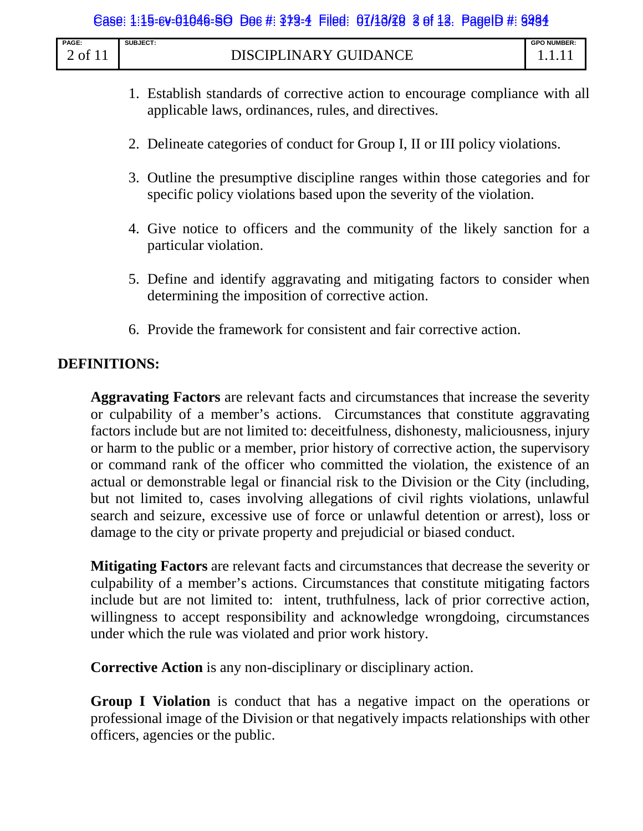| <b>PAGE:</b> | SUBJECT:                          | <b>GPO NUMBER:</b> |
|--------------|-----------------------------------|--------------------|
| ΩŤ           | <b>GUIDANCE</b><br>DISCIPLINARY C |                    |

- 1. Establish standards of corrective action to encourage compliance with all applicable laws, ordinances, rules, and directives.
- 2. Delineate categories of conduct for Group I, II or III policy violations.
- 3. Outline the presumptive discipline ranges within those categories and for specific policy violations based upon the severity of the violation.
- 4. Give notice to officers and the community of the likely sanction for a particular violation.
- 5. Define and identify aggravating and mitigating factors to consider when determining the imposition of corrective action.
- 6. Provide the framework for consistent and fair corrective action.

## **DEFINITIONS:**

**Aggravating Factors** are relevant facts and circumstances that increase the severity or culpability of a member's actions. Circumstances that constitute aggravating factors include but are not limited to: deceitfulness, dishonesty, maliciousness, injury or harm to the public or a member, prior history of corrective action, the supervisory or command rank of the officer who committed the violation, the existence of an actual or demonstrable legal or financial risk to the Division or the City (including, but not limited to, cases involving allegations of civil rights violations, unlawful search and seizure, excessive use of force or unlawful detention or arrest), loss or damage to the city or private property and prejudicial or biased conduct.

**Mitigating Factors** are relevant facts and circumstances that decrease the severity or culpability of a member's actions. Circumstances that constitute mitigating factors include but are not limited to: intent, truthfulness, lack of prior corrective action, willingness to accept responsibility and acknowledge wrongdoing, circumstances under which the rule was violated and prior work history.

**Corrective Action** is any non-disciplinary or disciplinary action.

**Group I Violation** is conduct that has a negative impact on the operations or professional image of the Division or that negatively impacts relationships with other officers, agencies or the public.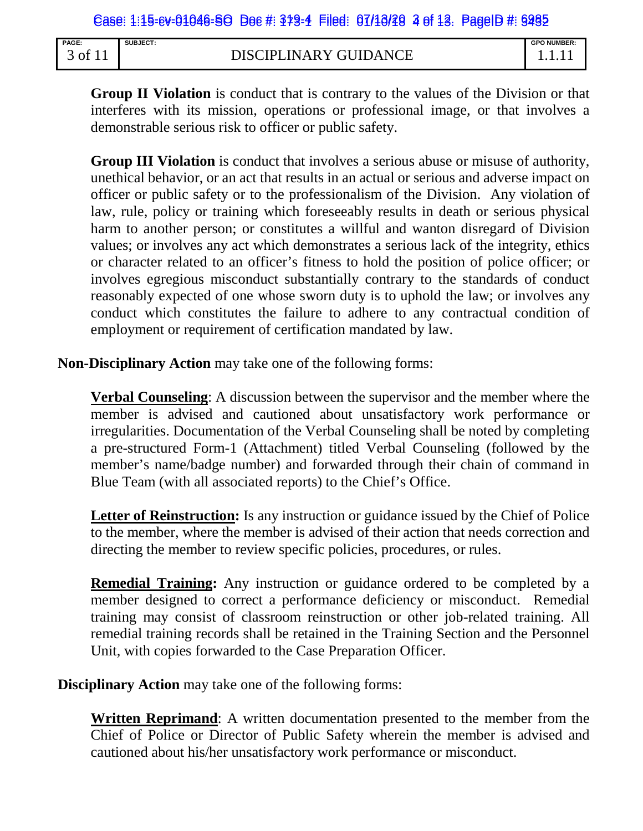| <b>PAGE:</b>   | SUBJECT:                     | <b>GPO NUMBER:</b> |
|----------------|------------------------------|--------------------|
| , of $\degree$ | <b>DISCIPLINARY GUIDANCE</b> |                    |

**Group II Violation** is conduct that is contrary to the values of the Division or that interferes with its mission, operations or professional image, or that involves a demonstrable serious risk to officer or public safety.

**Group III Violation** is conduct that involves a serious abuse or misuse of authority, unethical behavior, or an act that results in an actual or serious and adverse impact on officer or public safety or to the professionalism of the Division. Any violation of law, rule, policy or training which foreseeably results in death or serious physical harm to another person; or constitutes a willful and wanton disregard of Division values; or involves any act which demonstrates a serious lack of the integrity, ethics or character related to an officer's fitness to hold the position of police officer; or involves egregious misconduct substantially contrary to the standards of conduct reasonably expected of one whose sworn duty is to uphold the law; or involves any conduct which constitutes the failure to adhere to any contractual condition of employment or requirement of certification mandated by law.

**Non-Disciplinary Action** may take one of the following forms:

**Verbal Counseling**: A discussion between the supervisor and the member where the member is advised and cautioned about unsatisfactory work performance or irregularities. Documentation of the Verbal Counseling shall be noted by completing a pre-structured Form-1 (Attachment) titled Verbal Counseling (followed by the member's name/badge number) and forwarded through their chain of command in Blue Team (with all associated reports) to the Chief's Office.

Letter of Reinstruction: Is any instruction or guidance issued by the Chief of Police to the member, where the member is advised of their action that needs correction and directing the member to review specific policies, procedures, or rules.

**Remedial Training:** Any instruction or guidance ordered to be completed by a member designed to correct a performance deficiency or misconduct. Remedial training may consist of classroom reinstruction or other job-related training. All remedial training records shall be retained in the Training Section and the Personnel Unit, with copies forwarded to the Case Preparation Officer.

**Disciplinary Action** may take one of the following forms:

**Written Reprimand**: A written documentation presented to the member from the Chief of Police or Director of Public Safety wherein the member is advised and cautioned about his/her unsatisfactory work performance or misconduct.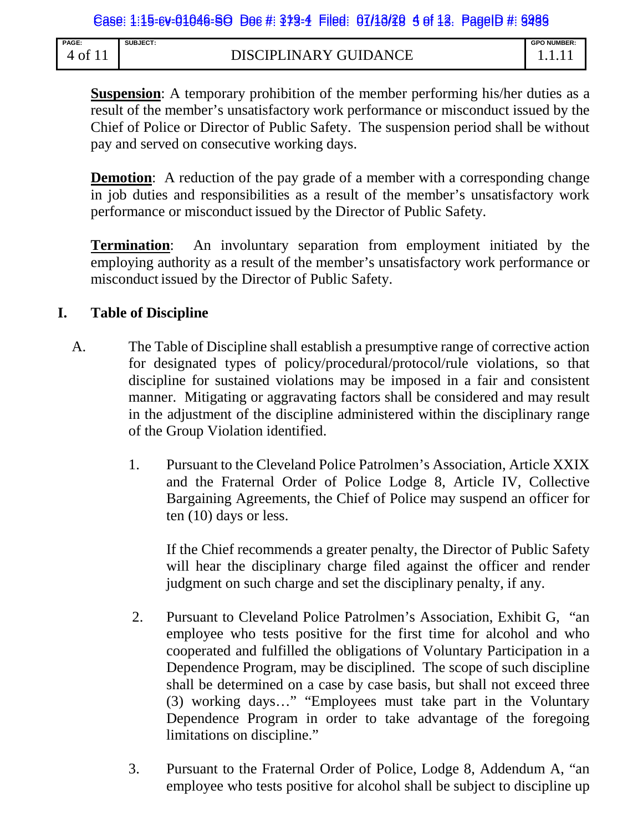| <b>PAGE</b> | SUBJECT:              | <b>GPO NUMBER:</b> |
|-------------|-----------------------|--------------------|
| 0t          | DISCIPLINARY GUIDANCE |                    |

**Suspension**: A temporary prohibition of the member performing his/her duties as a result of the member's unsatisfactory work performance or misconduct issued by the Chief of Police or Director of Public Safety. The suspension period shall be without pay and served on consecutive working days.

**Demotion:** A reduction of the pay grade of a member with a corresponding change in job duties and responsibilities as a result of the member's unsatisfactory work performance or misconduct issued by the Director of Public Safety.

**Termination**: An involuntary separation from employment initiated by the employing authority as a result of the member's unsatisfactory work performance or misconduct issued by the Director of Public Safety.

## **I. Table of Discipline**

- A. The Table of Discipline shall establish a presumptive range of corrective action for designated types of policy/procedural/protocol/rule violations, so that discipline for sustained violations may be imposed in a fair and consistent manner. Mitigating or aggravating factors shall be considered and may result in the adjustment of the discipline administered within the disciplinary range of the Group Violation identified.
	- 1. Pursuant to the Cleveland Police Patrolmen's Association, Article XXIX and the Fraternal Order of Police Lodge 8, Article IV, Collective Bargaining Agreements, the Chief of Police may suspend an officer for ten (10) days or less.

If the Chief recommends a greater penalty, the Director of Public Safety will hear the disciplinary charge filed against the officer and render judgment on such charge and set the disciplinary penalty, if any.

- 2. Pursuant to Cleveland Police Patrolmen's Association, Exhibit G, "an employee who tests positive for the first time for alcohol and who cooperated and fulfilled the obligations of Voluntary Participation in a Dependence Program, may be disciplined. The scope of such discipline shall be determined on a case by case basis, but shall not exceed three (3) working days…" "Employees must take part in the Voluntary Dependence Program in order to take advantage of the foregoing limitations on discipline."
- 3. Pursuant to the Fraternal Order of Police, Lodge 8, Addendum A, "an employee who tests positive for alcohol shall be subject to discipline up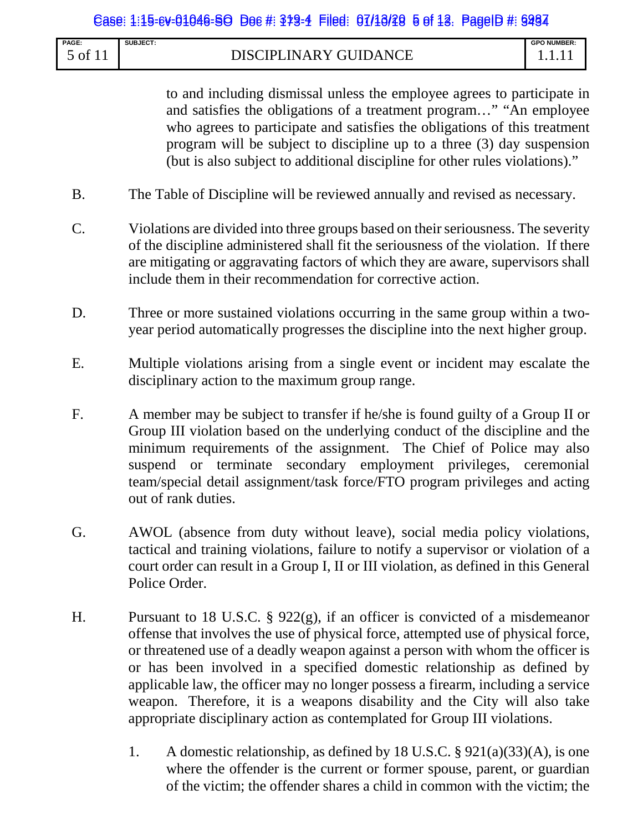| PAGE:                    | <b>SUBJECT:</b>       | <b>GPO NUMBER:</b> |
|--------------------------|-----------------------|--------------------|
| $\sqrt{0}$ of $\sqrt{1}$ | DISCIPLINARY GUIDANCE |                    |

to and including dismissal unless the employee agrees to participate in and satisfies the obligations of a treatment program…" "An employee who agrees to participate and satisfies the obligations of this treatment program will be subject to discipline up to a three (3) day suspension (but is also subject to additional discipline for other rules violations)."

- B. The Table of Discipline will be reviewed annually and revised as necessary.
- C. Violations are divided into three groups based on their seriousness. The severity of the discipline administered shall fit the seriousness of the violation. If there are mitigating or aggravating factors of which they are aware, supervisors shall include them in their recommendation for corrective action.
- D. Three or more sustained violations occurring in the same group within a twoyear period automatically progresses the discipline into the next higher group.
- E. Multiple violations arising from a single event or incident may escalate the disciplinary action to the maximum group range.
- F. A member may be subject to transfer if he/she is found guilty of a Group II or Group III violation based on the underlying conduct of the discipline and the minimum requirements of the assignment. The Chief of Police may also suspend or terminate secondary employment privileges, ceremonial team/special detail assignment/task force/FTO program privileges and acting out of rank duties.
- G. AWOL (absence from duty without leave), social media policy violations, tactical and training violations, failure to notify a supervisor or violation of a court order can result in a Group I, II or III violation, as defined in this General Police Order.
- H. Pursuant to 18 U.S.C. § 922(g), if an officer is convicted of a misdemeanor offense that involves the use of physical force, attempted use of physical force, or threatened use of a deadly weapon against a person with whom the officer is or has been involved in a specified domestic relationship as defined by applicable law, the officer may no longer possess a firearm, including a service weapon. Therefore, it is a weapons disability and the City will also take appropriate disciplinary action as contemplated for Group III violations.
	- 1. A domestic relationship, as defined by 18 U.S.C. § 921(a)(33)(A), is one where the offender is the current or former spouse, parent, or guardian of the victim; the offender shares a child in common with the victim; the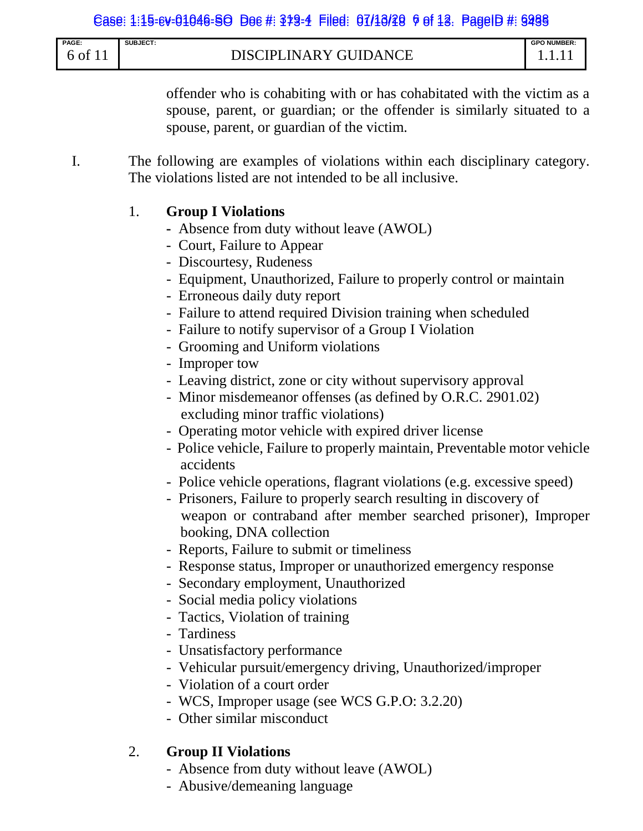| <b>PAGE:</b> | <b>SUBJECT:</b>                            | <b>GPO NUMBER:</b> |
|--------------|--------------------------------------------|--------------------|
| of           | <b>GUIDANCE</b><br><b>DISCIPLINARY GUL</b> |                    |

offender who is cohabiting with or has cohabitated with the victim as a spouse, parent, or guardian; or the offender is similarly situated to a spouse, parent, or guardian of the victim.

I. The following are examples of violations within each disciplinary category. The violations listed are not intended to be all inclusive.

#### 1. **Group I Violations**

- Absence from duty without leave (AWOL)
- Court, Failure to Appear
- Discourtesy, Rudeness
- Equipment, Unauthorized, Failure to properly control or maintain
- Erroneous daily duty report
- Failure to attend required Division training when scheduled
- Failure to notify supervisor of a Group I Violation
- Grooming and Uniform violations
- Improper tow
- Leaving district, zone or city without supervisory approval
- Minor misdemeanor offenses (as defined by O.R.C. 2901.02) excluding minor traffic violations)
- Operating motor vehicle with expired driver license
- Police vehicle, Failure to properly maintain, Preventable motor vehicle accidents
- Police vehicle operations, flagrant violations (e.g. excessive speed)
- Prisoners, Failure to properly search resulting in discovery of weapon or contraband after member searched prisoner), Improper booking, DNA collection
- Reports, Failure to submit or timeliness
- Response status, Improper or unauthorized emergency response
- Secondary employment, Unauthorized
- Social media policy violations
- Tactics, Violation of training
- Tardiness
- Unsatisfactory performance
- Vehicular pursuit/emergency driving, Unauthorized/improper
- Violation of a court order
- WCS, Improper usage (see WCS G.P.O: 3.2.20)
- Other similar misconduct

# 2. **Group II Violations**

- Absence from duty without leave (AWOL)
- Abusive/demeaning language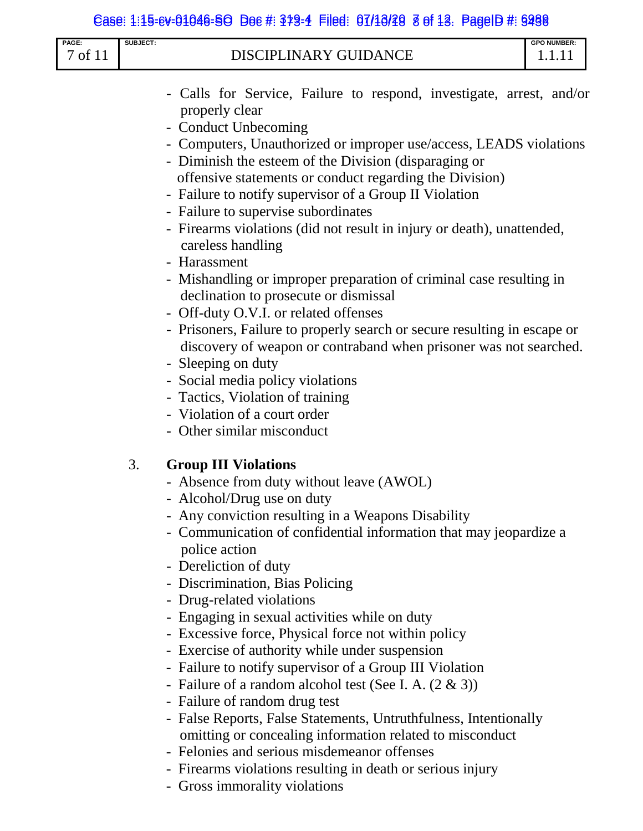|                  |          | Case: 1:15-ev-01046-SO Doe #: 379-4 Filed: 07/10/20 8 of 18. PageID #: 9298                                                                                                                                                                                                                                                                                                                                                                                                                                                                                                                                                                                                                                                                                                                                                                                                                                                                                                                    |
|------------------|----------|------------------------------------------------------------------------------------------------------------------------------------------------------------------------------------------------------------------------------------------------------------------------------------------------------------------------------------------------------------------------------------------------------------------------------------------------------------------------------------------------------------------------------------------------------------------------------------------------------------------------------------------------------------------------------------------------------------------------------------------------------------------------------------------------------------------------------------------------------------------------------------------------------------------------------------------------------------------------------------------------|
| PAGE:<br>7 of 11 | SUBJECT: | <b>GPO NUMBER:</b><br><b>DISCIPLINARY GUIDANCE</b><br>1.1.11                                                                                                                                                                                                                                                                                                                                                                                                                                                                                                                                                                                                                                                                                                                                                                                                                                                                                                                                   |
|                  |          | - Calls for Service, Failure to respond, investigate, arrest, and/or<br>properly clear<br>- Conduct Unbecoming<br>- Computers, Unauthorized or improper use/access, LEADS violations<br>- Diminish the esteem of the Division (disparaging or<br>offensive statements or conduct regarding the Division)<br>- Failure to notify supervisor of a Group II Violation<br>- Failure to supervise subordinates<br>- Firearms violations (did not result in injury or death), unattended,<br>careless handling<br>- Harassment<br>- Mishandling or improper preparation of criminal case resulting in<br>declination to prosecute or dismissal<br>- Off-duty O.V.I. or related offenses<br>- Prisoners, Failure to properly search or secure resulting in escape or<br>discovery of weapon or contraband when prisoner was not searched.<br>- Sleeping on duty<br>- Social media policy violations<br>- Tactics, Violation of training<br>- Violation of a court order<br>- Other similar misconduct |
|                  | 3.       | <b>Group III Violations</b><br>- Absence from duty without leave (AWOL)<br>- Alcohol/Drug use on duty<br>- Any conviction resulting in a Weapons Disability<br>- Communication of confidential information that may jeopardize a<br>police action<br>- Dereliction of duty<br>- Discrimination, Bias Policing<br>- Drug-related violations<br>- Engaging in sexual activities while on duty<br>- Excessive force, Physical force not within policy<br>- Exercise of authority while under suspension                                                                                                                                                                                                                                                                                                                                                                                                                                                                                           |

- Failure to notify supervisor of a Group III Violation
- Failure of a random alcohol test (See I. A. (2 & 3))
- Failure of random drug test
- False Reports, False Statements, Untruthfulness, Intentionally omitting or concealing information related to misconduct
- Felonies and serious misdemeanor offenses
- Firearms violations resulting in death or serious injury
- Gross immorality violations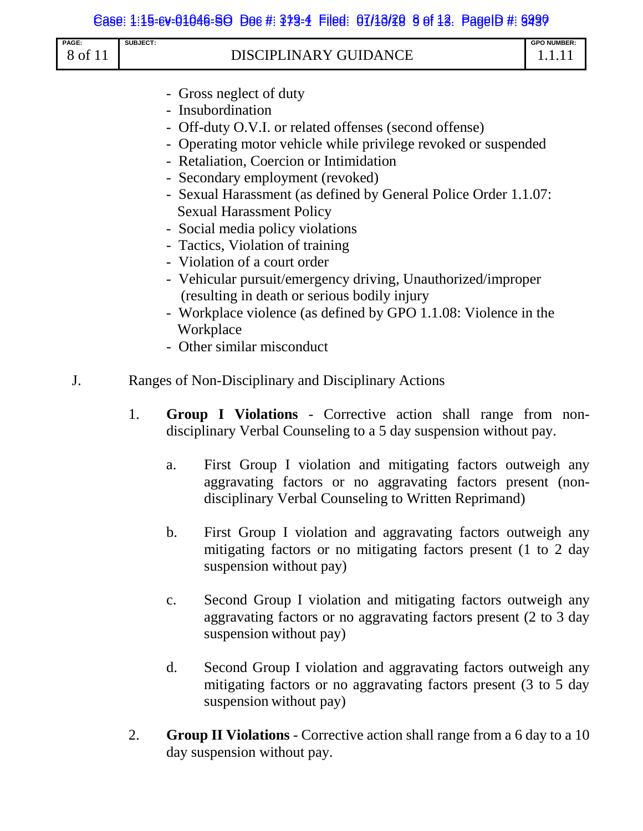#### Case: 1:15-ev-01046-SO Doc #: 379-4 Filed: 07/10/20 9 of 13. PageID #: 9299

| PAGE:   | <b>SUBJECT:</b>       | <b>GPO NUMBER:</b> |
|---------|-----------------------|--------------------|
| 8 of 11 | DISCIPLINARY GUIDANCE |                    |

- Gross neglect of duty
- Insubordination
- Off-duty O.V.I. or related offenses (second offense)
- Operating motor vehicle while privilege revoked or suspended
- Retaliation, Coercion or Intimidation
- Secondary employment (revoked)
- Sexual Harassment (as defined by General Police Order 1.1.07: Sexual Harassment Policy
- Social media policy violations
- Tactics, Violation of training
- Violation of a court order
- Vehicular pursuit/emergency driving, Unauthorized/improper (resulting in death or serious bodily injury
- Workplace violence (as defined by GPO 1.1.08: Violence in the Workplace
- Other similar misconduct
- J. Ranges of Non-Disciplinary and Disciplinary Actions
	- 1. **Group I Violations** Corrective action shall range from nondisciplinary Verbal Counseling to a 5 day suspension without pay.
		- a. First Group I violation and mitigating factors outweigh any aggravating factors or no aggravating factors present (nondisciplinary Verbal Counseling to Written Reprimand)
		- b. First Group I violation and aggravating factors outweigh any mitigating factors or no mitigating factors present (1 to 2 day suspension without pay)
		- c. Second Group I violation and mitigating factors outweigh any aggravating factors or no aggravating factors present (2 to 3 day suspension without pay)
		- d. Second Group I violation and aggravating factors outweigh any mitigating factors or no aggravating factors present (3 to 5 day suspension without pay)
	- 2. **Group II Violations** Corrective action shall range from a 6 day to a 10 day suspension without pay.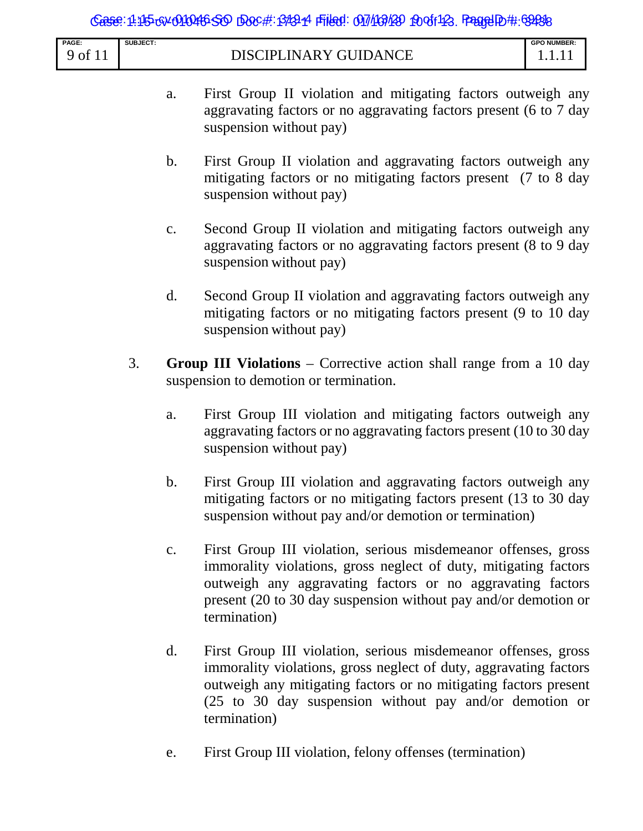| <b>PAGE</b> | SUBJECT:                                              | <b>GPO NUMBER:</b> |
|-------------|-------------------------------------------------------|--------------------|
| ΟÌ          | <b>ARY GUIDA</b><br><b>NCE</b><br>DISCIPI<br>IN.<br>◡ | .                  |

- a. First Group II violation and mitigating factors outweigh any aggravating factors or no aggravating factors present (6 to 7 day suspension without pay)
- b. First Group II violation and aggravating factors outweigh any mitigating factors or no mitigating factors present (7 to 8 day suspension without pay)
- c. Second Group II violation and mitigating factors outweigh any aggravating factors or no aggravating factors present (8 to 9 day suspension without pay)
- d. Second Group II violation and aggravating factors outweigh any mitigating factors or no mitigating factors present (9 to 10 day suspension without pay)
- 3. **Group III Violations** Corrective action shall range from a 10 day suspension to demotion or termination.
	- a. First Group III violation and mitigating factors outweigh any aggravating factors or no aggravating factors present (10 to 30 day suspension without pay)
	- b. First Group III violation and aggravating factors outweigh any mitigating factors or no mitigating factors present (13 to 30 day suspension without pay and/or demotion or termination)
	- c. First Group III violation, serious misdemeanor offenses, gross immorality violations, gross neglect of duty, mitigating factors outweigh any aggravating factors or no aggravating factors present (20 to 30 day suspension without pay and/or demotion or termination)
	- d. First Group III violation, serious misdemeanor offenses, gross immorality violations, gross neglect of duty, aggravating factors outweigh any mitigating factors or no mitigating factors present (25 to 30 day suspension without pay and/or demotion or termination)
	- e. First Group III violation, felony offenses (termination)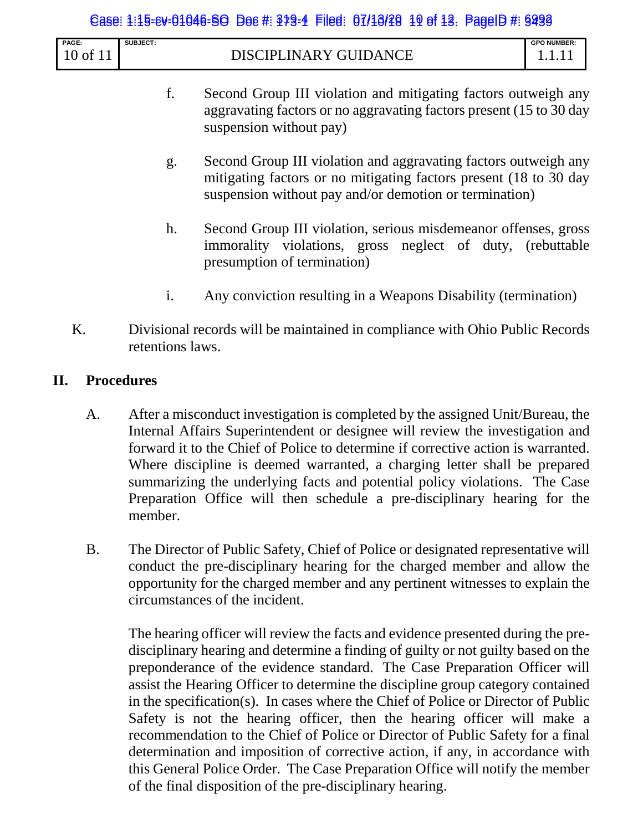#### Case: 1:15-ev-01046-SO Doc #: 379-4 Filed: 07/13/20 19 of 13. PageID #: 9299

| PAGE:     | <b>SUBJECT:</b>                                                                          | O NUMBER:<br><b>GPC</b>             |
|-----------|------------------------------------------------------------------------------------------|-------------------------------------|
| - -<br>-- | $\triangle NCT$<br>IIГ<br>'N.<br>⊢∆<br>$\mathbf{v}$<br>$\Lambda$<br>ĸ<br><u>т І</u><br>_ | the contract of the contract of the |

- f. Second Group III violation and mitigating factors outweigh any aggravating factors or no aggravating factors present (15 to 30 day suspension without pay)
- g. Second Group III violation and aggravating factors outweigh any mitigating factors or no mitigating factors present (18 to 30 day suspension without pay and/or demotion or termination)
- h. Second Group III violation, serious misdemeanor offenses, gross immorality violations, gross neglect of duty, (rebuttable presumption of termination)
- i. Any conviction resulting in a Weapons Disability (termination)
- K. Divisional records will be maintained in compliance with Ohio Public Records retentions laws.

#### **II. Procedures**

- A. After a misconduct investigation is completed by the assigned Unit/Bureau, the Internal Affairs Superintendent or designee will review the investigation and forward it to the Chief of Police to determine if corrective action is warranted. Where discipline is deemed warranted, a charging letter shall be prepared summarizing the underlying facts and potential policy violations. The Case Preparation Office will then schedule a pre-disciplinary hearing for the member.
- B. The Director of Public Safety, Chief of Police or designated representative will conduct the pre-disciplinary hearing for the charged member and allow the opportunity for the charged member and any pertinent witnesses to explain the circumstances of the incident.

The hearing officer will review the facts and evidence presented during the predisciplinary hearing and determine a finding of guilty or not guilty based on the preponderance of the evidence standard. The Case Preparation Officer will assist the Hearing Officer to determine the discipline group category contained in the specification(s). In cases where the Chief of Police or Director of Public Safety is not the hearing officer, then the hearing officer will make a recommendation to the Chief of Police or Director of Public Safety for a final determination and imposition of corrective action, if any, in accordance with this General Police Order. The Case Preparation Office will notify the member of the final disposition of the pre-disciplinary hearing.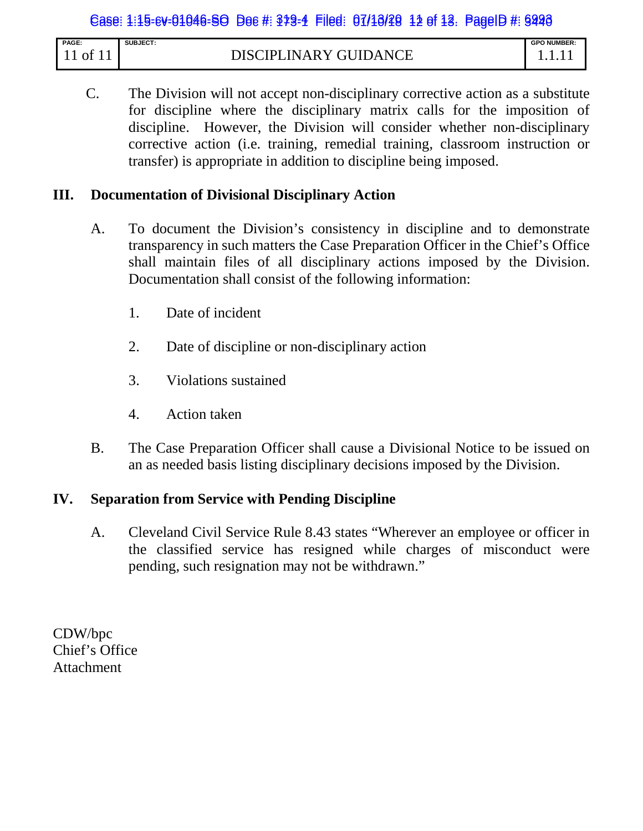| <b>PAGE:</b>   | <b>SUBJECT:</b>                    | <b>GPO NUMBER:</b> |
|----------------|------------------------------------|--------------------|
| 0 <sup>t</sup> | PLINARY GUIDANCE<br><b>DISCIPL</b> | .                  |

C. The Division will not accept non-disciplinary corrective action as a substitute for discipline where the disciplinary matrix calls for the imposition of discipline. However, the Division will consider whether non-disciplinary corrective action (i.e. training, remedial training, classroom instruction or transfer) is appropriate in addition to discipline being imposed.

# **III. Documentation of Divisional Disciplinary Action**

- A. To document the Division's consistency in discipline and to demonstrate transparency in such matters the Case Preparation Officer in the Chief's Office shall maintain files of all disciplinary actions imposed by the Division. Documentation shall consist of the following information:
	- 1. Date of incident
	- 2. Date of discipline or non-disciplinary action
	- 3. Violations sustained
	- 4. Action taken
- B. The Case Preparation Officer shall cause a Divisional Notice to be issued on an as needed basis listing disciplinary decisions imposed by the Division.

#### **IV. Separation from Service with Pending Discipline**

A. Cleveland Civil Service Rule 8.43 states "Wherever an employee or officer in the classified service has resigned while charges of misconduct were pending, such resignation may not be withdrawn."

CDW/bpc Chief's Office Attachment